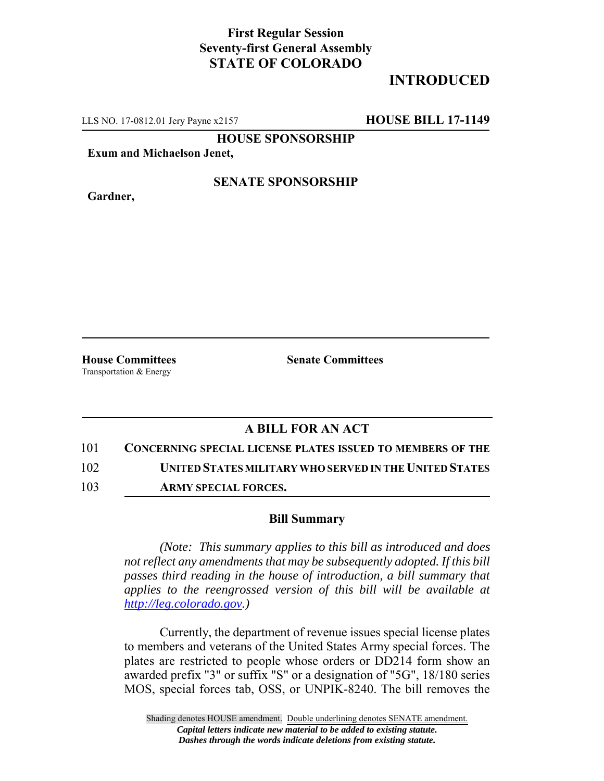## **First Regular Session Seventy-first General Assembly STATE OF COLORADO**

# **INTRODUCED**

LLS NO. 17-0812.01 Jery Payne x2157 **HOUSE BILL 17-1149**

**HOUSE SPONSORSHIP**

**Exum and Michaelson Jenet,**

**Gardner,**

#### **SENATE SPONSORSHIP**

Transportation & Energy

**House Committees Senate Committees** 

## **A BILL FOR AN ACT**

101 **CONCERNING SPECIAL LICENSE PLATES ISSUED TO MEMBERS OF THE**

102 **UNITED STATES MILITARY WHO SERVED IN THE UNITED STATES**

103 **ARMY SPECIAL FORCES.**

### **Bill Summary**

*(Note: This summary applies to this bill as introduced and does not reflect any amendments that may be subsequently adopted. If this bill passes third reading in the house of introduction, a bill summary that applies to the reengrossed version of this bill will be available at http://leg.colorado.gov.)*

Currently, the department of revenue issues special license plates to members and veterans of the United States Army special forces. The plates are restricted to people whose orders or DD214 form show an awarded prefix "3" or suffix "S" or a designation of "5G", 18/180 series MOS, special forces tab, OSS, or UNPIK-8240. The bill removes the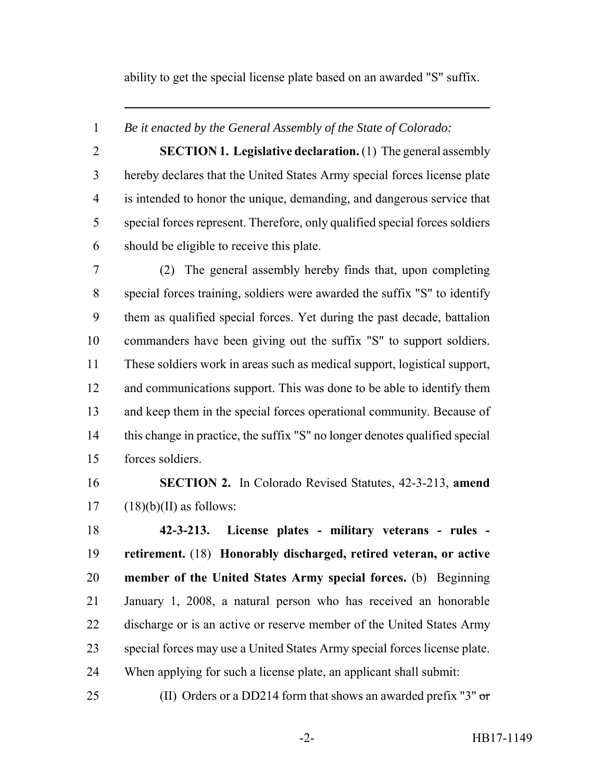ability to get the special license plate based on an awarded "S" suffix.

*Be it enacted by the General Assembly of the State of Colorado:*

 **SECTION 1. Legislative declaration.** (1) The general assembly hereby declares that the United States Army special forces license plate is intended to honor the unique, demanding, and dangerous service that special forces represent. Therefore, only qualified special forces soldiers should be eligible to receive this plate.

 (2) The general assembly hereby finds that, upon completing special forces training, soldiers were awarded the suffix "S" to identify them as qualified special forces. Yet during the past decade, battalion commanders have been giving out the suffix "S" to support soldiers. These soldiers work in areas such as medical support, logistical support, and communications support. This was done to be able to identify them and keep them in the special forces operational community. Because of this change in practice, the suffix "S" no longer denotes qualified special forces soldiers.

 **SECTION 2.** In Colorado Revised Statutes, 42-3-213, **amend**  $17 \quad (18)(b)(II)$  as follows:

 **42-3-213. License plates - military veterans - rules - retirement.** (18) **Honorably discharged, retired veteran, or active member of the United States Army special forces.** (b) Beginning January 1, 2008, a natural person who has received an honorable discharge or is an active or reserve member of the United States Army special forces may use a United States Army special forces license plate. When applying for such a license plate, an applicant shall submit:

25 (II) Orders or a DD214 form that shows an awarded prefix "3"  $\sigma$ r